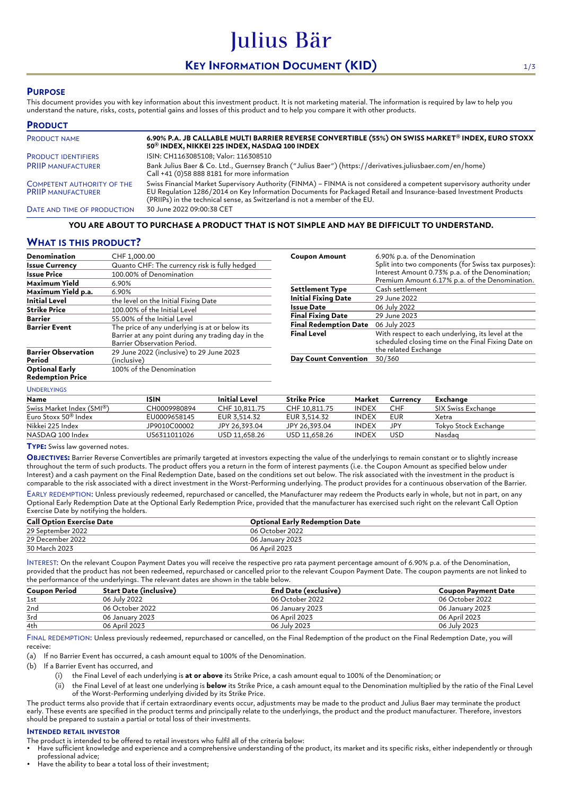# **KEY INFORMATION DOCUMENT (KID)** 1/3

Julius Bär

## **PURPOSE**

This document provides you with key information about this investment product. It is not marketing material. The information is required by law to help you understand the nature, risks, costs, potential gains and losses of this product and to help you compare it with other products.

| <b>PRODUCT</b>                                                 |                                                                                                                                                                                                                                                                                                                          |
|----------------------------------------------------------------|--------------------------------------------------------------------------------------------------------------------------------------------------------------------------------------------------------------------------------------------------------------------------------------------------------------------------|
| <b>PRODUCT NAME</b>                                            | 6.90% P.A. JB CALLABLE MULTI BARRIER REVERSE CONVERTIBLE (55%) ON SWISS MARKET® INDEX, EURO STOXX<br>50 <sup>®</sup> INDEX, NIKKEI 225 INDEX, NASDAQ 100 INDEX                                                                                                                                                           |
| <b>PRODUCT IDENTIFIERS</b>                                     | ISIN: CH1163085108; Valor: 116308510                                                                                                                                                                                                                                                                                     |
| <b>PRIIP MANUFACTURER</b>                                      | Bank Julius Baer & Co. Ltd., Guernsey Branch ("Julius Baer") (https://derivatives.juliusbaer.com/en/home)<br>Call +41 (0)58 888 8181 for more information                                                                                                                                                                |
| <b>COMPETENT AUTHORITY OF THE</b><br><b>PRIIP MANUFACTURER</b> | Swiss Financial Market Supervisory Authority (FINMA) - FINMA is not considered a competent supervisory authority under<br>EU Regulation 1286/2014 on Key Information Documents for Packaged Retail and Insurance-based Investment Products<br>(PRIIPs) in the technical sense, as Switzerland is not a member of the EU. |
| DATE AND TIME OF PRODUCTION                                    | 30 June 2022 09:00:38 CET                                                                                                                                                                                                                                                                                                |

#### **YOU ARE ABOUT TO PURCHASE A PRODUCT THAT IS NOT SIMPLE AND MAY BE DIFFICULT TO UNDERSTAND.**

## **WHAT IS THIS PRODUCT?**

| Denomination                                     | CHF 1,000.00                                                                                                                        |  |  |
|--------------------------------------------------|-------------------------------------------------------------------------------------------------------------------------------------|--|--|
| <b>Issue Currency</b>                            | Quanto CHF: The currency risk is fully hedged                                                                                       |  |  |
| <b>Issue Price</b>                               | 100.00% of Denomination                                                                                                             |  |  |
| Maximum Yield                                    | 6.90%                                                                                                                               |  |  |
| Maximum Yield p.a.                               | 6.90%                                                                                                                               |  |  |
| <b>Initial Level</b>                             | the level on the Initial Fixing Date                                                                                                |  |  |
| <b>Strike Price</b>                              | 100.00% of the Initial Level                                                                                                        |  |  |
| <b>Barrier</b>                                   | 55.00% of the Initial Level                                                                                                         |  |  |
| <b>Barrier Event</b>                             | The price of any underlying is at or below its<br>Barrier at any point during any trading day in the<br>Barrier Observation Period. |  |  |
| <b>Barrier Observation</b><br>Period             | 29 June 2022 (inclusive) to 29 June 2023<br>(inclusive)                                                                             |  |  |
| <b>Optional Early</b><br><b>Redemption Price</b> | 100% of the Denomination                                                                                                            |  |  |

| <b>Coupon Amount</b>         | 6.90% p.a. of the Denomination<br>Split into two components (for Swiss tax purposes):<br>Interest Amount 0.73% p.a. of the Denomination;<br>Premium Amount 6.17% p.a. of the Denomination. |
|------------------------------|--------------------------------------------------------------------------------------------------------------------------------------------------------------------------------------------|
| <b>Settlement Type</b>       | Cash settlement                                                                                                                                                                            |
| <b>Initial Fixing Date</b>   | 29 June 2022                                                                                                                                                                               |
| Issue Date                   | 06 July 2022                                                                                                                                                                               |
| <b>Final Fixing Date</b>     | 29 June 2023                                                                                                                                                                               |
| <b>Final Redemption Date</b> | 06 July 2023                                                                                                                                                                               |
| <b>Final Level</b>           | With respect to each underlying, its level at the<br>scheduled closing time on the Final Fixing Date on<br>the related Exchange                                                            |
| <b>Day Count Convention</b>  | 30/360                                                                                                                                                                                     |

#### UNDERLYINGS

| Name                             | ISIN         | <b>Initial Level</b> | <b>Strike Price</b> | Market       | Currency | Exchange             |
|----------------------------------|--------------|----------------------|---------------------|--------------|----------|----------------------|
| Swiss Market Index (SMI®)        | CH0009980894 | CHF 10.811.75        | CHF 10.811.75       | <b>INDEX</b> | CHF      | SIX Swiss Exchange   |
| Euro Stoxx 50 <sup>®</sup> Index | EU0009658145 | EUR 3.514.32         | EUR 3.514.32        | <b>INDEX</b> | EUR      | Xetra                |
| Nikkei 225 Index                 | JP9010C00002 | JPY 26.393.04        | JPY 26.393.04       | <b>INDEX</b> | JPY      | Tokyo Stock Exchange |
| NASDAQ 100 Index                 | US6311011026 | USD 11.658.26        | USD 11.658.26       | <b>INDEX</b> | USD      | Nasdag               |

**TYPE:** Swiss law governed notes.

**OBJECTIVES:** Barrier Reverse Convertibles are primarily targeted at investors expecting the value of the underlyings to remain constant or to slightly increase throughout the term of such products. The product offers you a return in the form of interest payments (i.e. the Coupon Amount as specified below under Interest) and a cash payment on the Final Redemption Date, based on the conditions set out below. The risk associated with the investment in the product is comparable to the risk associated with a direct investment in the Worst-Performing underlying. The product provides for a continuous observation of the Barrier.

EARLY REDEMPTION: Unless previously redeemed, repurchased or cancelled, the Manufacturer may redeem the Products early in whole, but not in part, on any Optional Early Redemption Date at the Optional Early Redemption Price, provided that the manufacturer has exercised such right on the relevant Call Option Exercise Date by notifying the holders.

| <b>Call Option Exercise Date</b> | <b>Optional Early Redemption Date</b> |
|----------------------------------|---------------------------------------|
| 29 September 2022                | 06 October 2022                       |
| 29 December 2022                 | 06 January 2023                       |
| 30 March 2023                    | 06 April 2023                         |

INTEREST: On the relevant Coupon Payment Dates you will receive the respective pro rata payment percentage amount of 6.90% p.a. of the Denomination, provided that the product has not been redeemed, repurchased or cancelled prior to the relevant Coupon Payment Date. The coupon payments are not linked to the performance of the underlyings. The relevant dates are shown in the table below.

| <b>Coupon Period</b> | Start Date (inclusive) | End Date (exclusive) | <b>Coupon Payment Date</b> |
|----------------------|------------------------|----------------------|----------------------------|
| 1st                  | 06 July 2022           | 06 October 2022      | 06 October 2022            |
| 2nd                  | 06 October 2022        | 06 January 2023      | 06 January 2023            |
| 3rd                  | 06 January 2023        | 06 April 2023        | 06 April 2023              |
| 4th                  | 06 April 2023          | 06 July 2023         | 06 July 2023               |

FINAL REDEMPTION: Unless previously redeemed, repurchased or cancelled, on the Final Redemption of the product on the Final Redemption Date, you will receive:

(a) If no Barrier Event has occurred, a cash amount equal to 100% of the Denomination.

(b) If a Barrier Event has occurred, and

- (i) the Final Level of each underlying is **at or above** its Strike Price, a cash amount equal to 100% of the Denomination; or
- (ii) the Final Level of at least one underlying is **below** its Strike Price, a cash amount equal to the Denomination multiplied by the ratio of the Final Level of the Worst-Performing underlying divided by its Strike Price.

The product terms also provide that if certain extraordinary events occur, adjustments may be made to the product and Julius Baer may terminate the product early. These events are specified in the product terms and principally relate to the underlyings, the product and the product manufacturer. Therefore, investors should be prepared to sustain a partial or total loss of their investments.

#### **INTENDED RETAIL INVESTOR**

The product is intended to be offered to retail investors who fulfil all of the criteria below:

• Have sufficient knowledge and experience and a comprehensive understanding of the product, its market and its specific risks, either independently or through professional advice;

Have the ability to bear a total loss of their investment: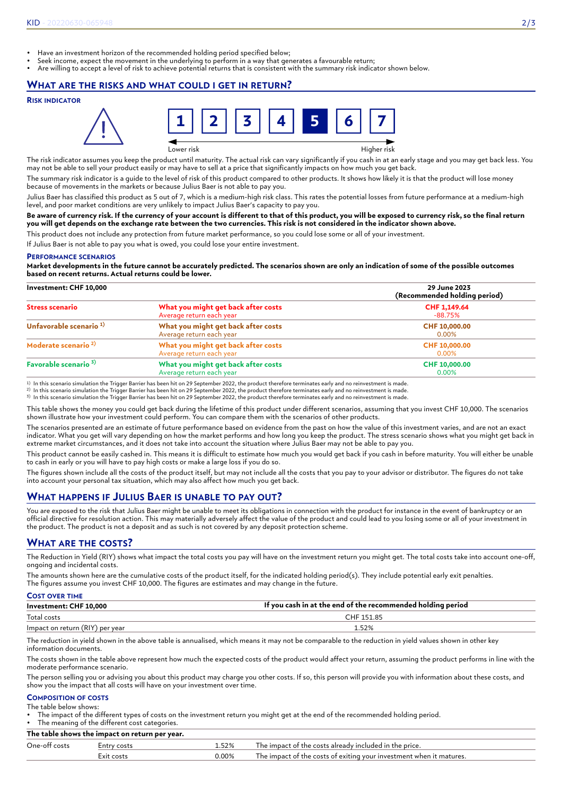- Have an investment horizon of the recommended holding period specified below;
- Seek income, expect the movement in the underlying to perform in a way that generates a favourable return;
- Are willing to accept a level of risk to achieve potential returns that is consistent with the summary risk indicator shown below.

### **WHAT ARE THE RISKS AND WHAT COULD I GET IN RETURN?**

#### **RISK INDICATOR**



The risk indicator assumes you keep the product until maturity. The actual risk can vary significantly if you cash in at an early stage and you may get back less. You may not be able to sell your product easily or may have to sell at a price that significantly impacts on how much you get back.

The summary risk indicator is a guide to the level of risk of this product compared to other products. It shows how likely it is that the product will lose money because of movements in the markets or because Julius Baer is not able to pay you.

Julius Baer has classified this product as 5 out of 7, which is a medium-high risk class. This rates the potential losses from future performance at a medium-high level, and poor market conditions are very unlikely to impact Julius Baer's capacity to pay you.

#### **Be aware of currency risk. If the currency of your account is different to that of this product, you will be exposed to currency risk, so the final return you will get depends on the exchange rate between the two currencies. This risk is not considered in the indicator shown above.**

This product does not include any protection from future market performance, so you could lose some or all of your investment.

If Julius Baer is not able to pay you what is owed, you could lose your entire investment.

#### **PERFORMANCE SCENARIOS**

**Market developments in the future cannot be accurately predicted. The scenarios shown are only an indication of some of the possible outcomes based on recent returns. Actual returns could be lower.**

| Investment: CHF 10,000             |                                                                 | 29 June 2023<br>(Recommended holding period)<br>CHF 1,149.64<br>-88.75% |  |
|------------------------------------|-----------------------------------------------------------------|-------------------------------------------------------------------------|--|
| <b>Stress scenario</b>             | What you might get back after costs<br>Average return each year |                                                                         |  |
| Unfavorable scenario <sup>1)</sup> | What you might get back after costs<br>Average return each year | CHF 10,000.00<br>0.00%                                                  |  |
| Moderate scenario <sup>2)</sup>    | What you might get back after costs<br>Average return each year | CHF 10,000.00<br>0.00%                                                  |  |
| Favorable scenario <sup>3)</sup>   | What you might get back after costs<br>Average return each year | CHF 10,000.00<br>0.00%                                                  |  |

1) In this scenario simulation the Trigger Barrier has been hit on 29 September 2022, the product therefore terminates early and no reinvestment is made.<br><sup>2)</sup> In this scenario simulation the Trigger Barrier has been hit on

3) In this scenario simulation the Trigger Barrier has been hit on 29 September 2022, the product therefore terminates early and no reinvestment is made.

This table shows the money you could get back during the lifetime of this product under different scenarios, assuming that you invest CHF 10,000. The scenarios shown illustrate how your investment could perform. You can compare them with the scenarios of other products.

The scenarios presented are an estimate of future performance based on evidence from the past on how the value of this investment varies, and are not an exact indicator. What you get will vary depending on how the market performs and how long you keep the product. The stress scenario shows what you might get back in extreme market circumstances, and it does not take into account the situation where Julius Baer may not be able to pay you.

This product cannot be easily cashed in. This means it is difficult to estimate how much you would get back if you cash in before maturity. You will either be unable to cash in early or you will have to pay high costs or make a large loss if you do so.

The figures shown include all the costs of the product itself, but may not include all the costs that you pay to your advisor or distributor. The figures do not take into account your personal tax situation, which may also affect how much you get back.

## **WHAT HAPPENS IF JULIUS BAER IS UNABLE TO PAY OUT?**

You are exposed to the risk that Julius Baer might be unable to meet its obligations in connection with the product for instance in the event of bankruptcy or an official directive for resolution action. This may materially adversely affect the value of the product and could lead to you losing some or all of your investment in the product. The product is not a deposit and as such is not covered by any deposit protection scheme.

## **WHAT ARE THE COSTS?**

The Reduction in Yield (RIY) shows what impact the total costs you pay will have on the investment return you might get. The total costs take into account one-off, ongoing and incidental costs.

The amounts shown here are the cumulative costs of the product itself, for the indicated holding period(s). They include potential early exit penalties. The figures assume you invest CHF 10,000. The figures are estimates and may change in the future.

| <b>COST OVER TIME</b>           |                                                             |
|---------------------------------|-------------------------------------------------------------|
| Investment: CHF 10,000          | If you cash in at the end of the recommended holding period |
| Total costs                     | CHF 151.85                                                  |
| Impact on return (RIY) per year | 1.52%                                                       |

The reduction in yield shown in the above table is annualised, which means it may not be comparable to the reduction in yield values shown in other key information documents.

The costs shown in the table above represent how much the expected costs of the product would affect your return, assuming the product performs in line with the moderate performance scenario.

The person selling you or advising you about this product may charge you other costs. If so, this person will provide you with information about these costs, and show you the impact that all costs will have on your investment over time.

#### **COMPOSITION OF COSTS** The table below shows:

• The impact of the different types of costs on the investment return you might get at the end of the recommended holding period.

The meaning of the different cost categories. **The table shows the impact on return per year.**

|               | The capie shows the impact on return per year. |          |                                                                     |  |  |
|---------------|------------------------------------------------|----------|---------------------------------------------------------------------|--|--|
| One-off costs | ⊨ntrv costs                                    | 52%      | The impact of the costs already included in the price.              |  |  |
|               | Exit costs                                     | $0.00\%$ | The impact of the costs of exiting your investment when it matures. |  |  |